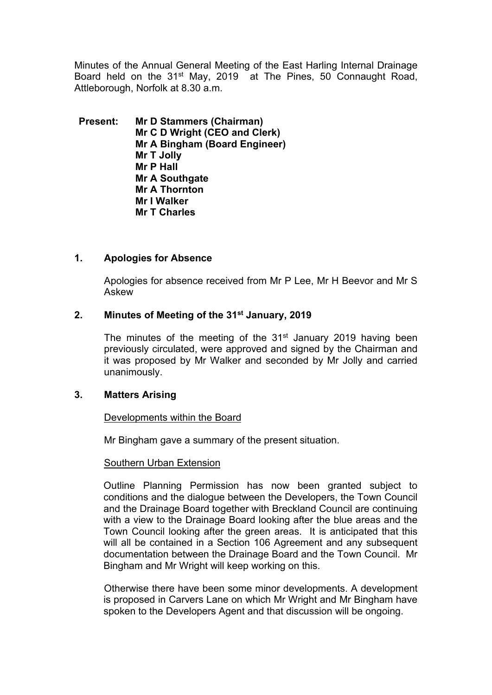Minutes of the Annual General Meeting of the East Harling Internal Drainage Board held on the 31<sup>st</sup> May, 2019 at The Pines, 50 Connaught Road, Attleborough, Norfolk at 8.30 a.m.

**Present: Mr D Stammers (Chairman) Mr C D Wright (CEO and Clerk) Mr A Bingham (Board Engineer) Mr T Jolly Mr P Hall Mr A Southgate Mr A Thornton Mr I Walker Mr T Charles**

### **1. Apologies for Absence**

Apologies for absence received from Mr P Lee, Mr H Beevor and Mr S Askew

### **2. Minutes of Meeting of the 31st January, 2019**

The minutes of the meeting of the  $31<sup>st</sup>$  January 2019 having been previously circulated, were approved and signed by the Chairman and it was proposed by Mr Walker and seconded by Mr Jolly and carried unanimously.

#### **3. Matters Arising**

#### Developments within the Board

Mr Bingham gave a summary of the present situation.

#### Southern Urban Extension

Outline Planning Permission has now been granted subject to conditions and the dialogue between the Developers, the Town Council and the Drainage Board together with Breckland Council are continuing with a view to the Drainage Board looking after the blue areas and the Town Council looking after the green areas. It is anticipated that this will all be contained in a Section 106 Agreement and any subsequent documentation between the Drainage Board and the Town Council. Mr Bingham and Mr Wright will keep working on this.

Otherwise there have been some minor developments. A development is proposed in Carvers Lane on which Mr Wright and Mr Bingham have spoken to the Developers Agent and that discussion will be ongoing.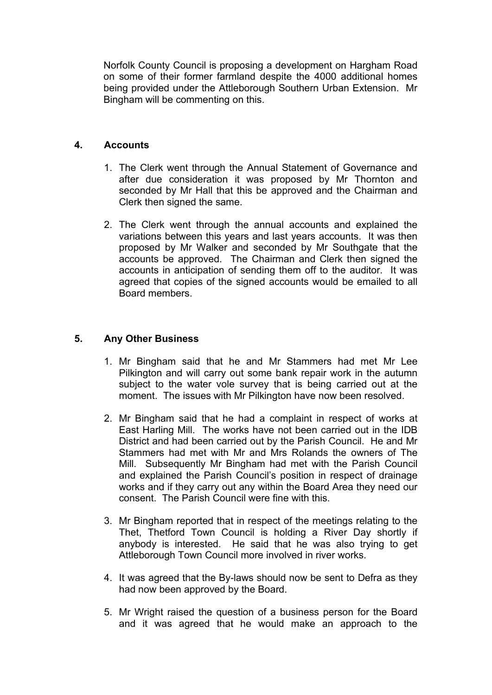Norfolk County Council is proposing a development on Hargham Road on some of their former farmland despite the 4000 additional homes being provided under the Attleborough Southern Urban Extension. Mr Bingham will be commenting on this.

# **4. Accounts**

- 1. The Clerk went through the Annual Statement of Governance and after due consideration it was proposed by Mr Thornton and seconded by Mr Hall that this be approved and the Chairman and Clerk then signed the same.
- 2. The Clerk went through the annual accounts and explained the variations between this years and last years accounts. It was then proposed by Mr Walker and seconded by Mr Southgate that the accounts be approved. The Chairman and Clerk then signed the accounts in anticipation of sending them off to the auditor. It was agreed that copies of the signed accounts would be emailed to all Board members.

# **5. Any Other Business**

- 1. Mr Bingham said that he and Mr Stammers had met Mr Lee Pilkington and will carry out some bank repair work in the autumn subject to the water vole survey that is being carried out at the moment. The issues with Mr Pilkington have now been resolved.
- 2. Mr Bingham said that he had a complaint in respect of works at East Harling Mill. The works have not been carried out in the IDB District and had been carried out by the Parish Council. He and Mr Stammers had met with Mr and Mrs Rolands the owners of The Mill. Subsequently Mr Bingham had met with the Parish Council and explained the Parish Council's position in respect of drainage works and if they carry out any within the Board Area they need our consent. The Parish Council were fine with this.
- 3. Mr Bingham reported that in respect of the meetings relating to the Thet, Thetford Town Council is holding a River Day shortly if anybody is interested. He said that he was also trying to get Attleborough Town Council more involved in river works.
- 4. It was agreed that the By-laws should now be sent to Defra as they had now been approved by the Board.
- 5. Mr Wright raised the question of a business person for the Board and it was agreed that he would make an approach to the